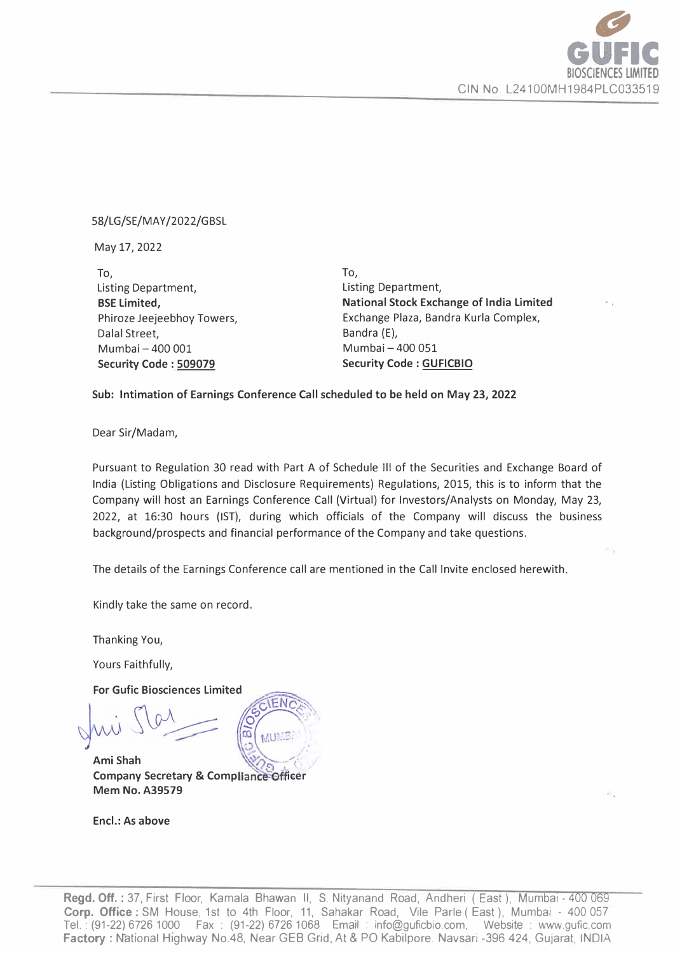

#### 58/LG/SE/MAY/2022/GBSL

May 17, 2022

To, Listing Department, **BSE Limited,**  Phiroze Jeejeebhoy Towers, Dalal Street, Mumbai-400 001 **Security Code : 509079** 

**To,**  Listing Department, **National Stock Exchange of India Limited**  Exchange Plaza, Bandra Kurla Complex, Bandra (E), Mumbai-400 051 **Security Code : GUFICBIO** 

#### **Sub: Intimation of Earnings Conference Call scheduled to be held on May 23, 2022**

Dear Sir/Madam,

Pursuant to Regulation 30 read with Part A of Schedule Ill of the Securities and Exchange Board of India (Listing Obligations and Disclosure Requirements) Regulations, 2015, this is to inform that the Company will host an Earnings Conference Call (Virtual) for Investors/Analysts on Monday, May 23, 2022, at 16:30 hours (1ST), during which officials of the Company will discuss the business background/prospects and financial performance of the Company and take questions.

The details of the Earnings Conference call are mentioned in the Call Invite enclosed herewith.

Kindly take the same on record.

Thanking You,

Yours Faithfully,

**For Gufic Biosciences Limited** 

**Ami Shah ,;: Company Secretary & Compliance Officer Mem No. A39579** 

**Encl.: As above** 

**Regd. Off. :** 37, First Floor, Kamala Bhawan II, S. Nityanand Road, Andheri ( East ), Mumbai - 400 069 **\_ Corp. Office** : SM House, 1st to 4th Floor, 11, Sahakar Road, Vile Parle ( East ), Mumbai - 400 057 Tel.: (91-22) 6726 1000 Fax : (91-22) 6726 1068 Email : info@guficbio.com, Website : www.gufic.com Ter. . (91-22) 0720 1000 Fax . (91-22) 0720 1000 Emair . Info@guicolo.com, Website . www.guilc.com<br>**Factory : N**ational Highway No.48, Near GEB Grid, At & PO Kabilpore. Navsari -396 424, Gujarat, INDIA

 $FN$  $\hat{\omega}$  $\epsilon$ ,  $\epsilon$ ,  $\epsilon$ MUMB: